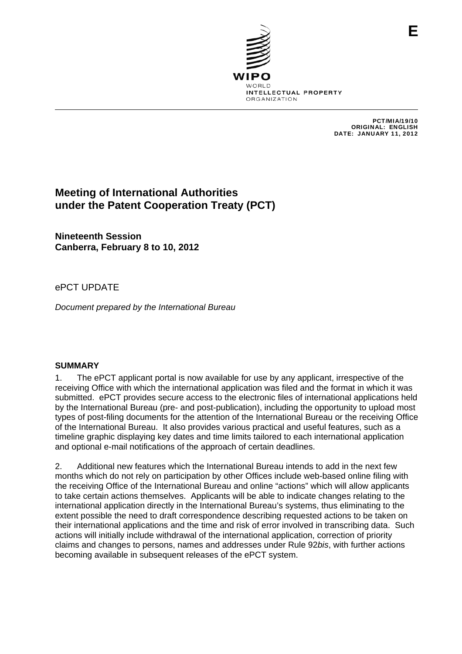

PCT/MIA/19/10 ORIGINAL: ENGLISH DATE: JANUARY 11, 2012

# **Meeting of International Authorities under the Patent Cooperation Treaty (PCT)**

**Nineteenth Session Canberra, February 8 to 10, 2012** 

# ePCT UPDATE

*Document prepared by the International Bureau* 

#### **SUMMARY**

1. The ePCT applicant portal is now available for use by any applicant, irrespective of the receiving Office with which the international application was filed and the format in which it was submitted. ePCT provides secure access to the electronic files of international applications held by the International Bureau (pre- and post-publication), including the opportunity to upload most types of post-filing documents for the attention of the International Bureau or the receiving Office of the International Bureau. It also provides various practical and useful features, such as a timeline graphic displaying key dates and time limits tailored to each international application and optional e-mail notifications of the approach of certain deadlines.

2. Additional new features which the International Bureau intends to add in the next few months which do not rely on participation by other Offices include web-based online filing with the receiving Office of the International Bureau and online "actions" which will allow applicants to take certain actions themselves. Applicants will be able to indicate changes relating to the international application directly in the International Bureau's systems, thus eliminating to the extent possible the need to draft correspondence describing requested actions to be taken on their international applications and the time and risk of error involved in transcribing data. Such actions will initially include withdrawal of the international application, correction of priority claims and changes to persons, names and addresses under Rule 92*bis*, with further actions becoming available in subsequent releases of the ePCT system.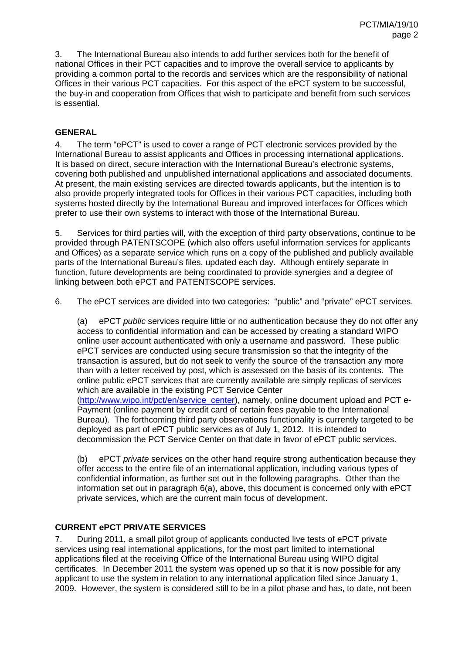3. The International Bureau also intends to add further services both for the benefit of national Offices in their PCT capacities and to improve the overall service to applicants by providing a common portal to the records and services which are the responsibility of national Offices in their various PCT capacities. For this aspect of the ePCT system to be successful, the buy-in and cooperation from Offices that wish to participate and benefit from such services is essential.

# **GENERAL**

4. The term "ePCT" is used to cover a range of PCT electronic services provided by the International Bureau to assist applicants and Offices in processing international applications. It is based on direct, secure interaction with the International Bureau's electronic systems, covering both published and unpublished international applications and associated documents. At present, the main existing services are directed towards applicants, but the intention is to also provide properly integrated tools for Offices in their various PCT capacities, including both systems hosted directly by the International Bureau and improved interfaces for Offices which prefer to use their own systems to interact with those of the International Bureau.

5. Services for third parties will, with the exception of third party observations, continue to be provided through PATENTSCOPE (which also offers useful information services for applicants and Offices) as a separate service which runs on a copy of the published and publicly available parts of the International Bureau's files, updated each day. Although entirely separate in function, future developments are being coordinated to provide synergies and a degree of linking between both ePCT and PATENTSCOPE services.

6. The ePCT services are divided into two categories: "public" and "private" ePCT services.

(a) ePCT *public* services require little or no authentication because they do not offer any access to confidential information and can be accessed by creating a standard WIPO online user account authenticated with only a username and password. These public ePCT services are conducted using secure transmission so that the integrity of the transaction is assured, but do not seek to verify the source of the transaction any more than with a letter received by post, which is assessed on the basis of its contents. The online public ePCT services that are currently available are simply replicas of services which are available in the existing PCT Service Center

(http://www.wipo.int/pct/en/service\_center), namely, online document upload and PCT e-Payment (online payment by credit card of certain fees payable to the International Bureau). The forthcoming third party observations functionality is currently targeted to be deployed as part of ePCT public services as of July 1, 2012. It is intended to decommission the PCT Service Center on that date in favor of ePCT public services.

(b) ePCT *private* services on the other hand require strong authentication because they offer access to the entire file of an international application, including various types of confidential information, as further set out in the following paragraphs. Other than the information set out in paragraph 6(a), above, this document is concerned only with ePCT private services, which are the current main focus of development.

#### **CURRENT ePCT PRIVATE SERVICES**

7. During 2011, a small pilot group of applicants conducted live tests of ePCT private services using real international applications, for the most part limited to international applications filed at the receiving Office of the International Bureau using WIPO digital certificates. In December 2011 the system was opened up so that it is now possible for any applicant to use the system in relation to any international application filed since January 1, 2009. However, the system is considered still to be in a pilot phase and has, to date, not been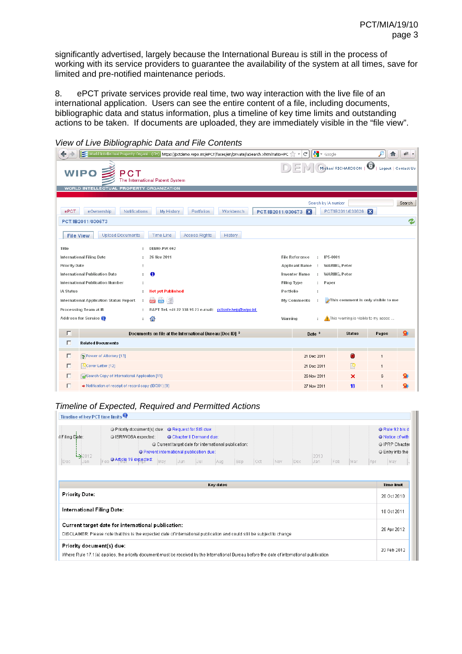significantly advertised, largely because the International Bureau is still in the process of working with its service providers to guarantee the availability of the system at all times, save for limited and pre-notified maintenance periods.

8. ePCT private services provide real time, two way interaction with the live file of an international application. Users can see the entire content of a file, including documents, bibliographic data and status information, plus a timeline of key time limits and outstanding actions to be taken. If documents are uploaded, they are immediately visible in the "file view".

| World Intellectual Property Organi (CH) https://pctdemo.wipo.int/ePCT/faces/en/private/iaSearch.xhtml?iaNo=PCT | $\frac{1}{2}$ $\sqrt{ }$ Google<br>G<br>$\tau$      |                                     | 借                                |        |
|----------------------------------------------------------------------------------------------------------------|-----------------------------------------------------|-------------------------------------|----------------------------------|--------|
| <b>WIPO</b><br>PCT<br>The International Patent System                                                          |                                                     | Michael RICHARDSON                  | $\bullet$<br>Logout   Contact Us |        |
| WORLD INTELLECTUAL PROPERTY ORGANIZATION                                                                       |                                                     |                                     |                                  |        |
| eOwnership<br>Notifications<br>My History<br>Portfolios<br><b>Workbench</b><br>ePCT<br>PCT/IB2011/030673       | Search by IA number<br>$\mathbf{z}$                 | PCT/IB2011/030626                   |                                  | Search |
| PCT/IB2011/030673                                                                                              |                                                     |                                     |                                  | z      |
| <b>Upload Documents</b><br><b>Time Line</b><br><b>Access Rights</b><br>History<br><b>File View</b>             |                                                     |                                     |                                  |        |
| Title<br>DEMO-PW-002                                                                                           |                                                     |                                     |                                  |        |
| International Filing Date<br>26 Nov 2011                                                                       | <b>File Reference</b><br>IP5-0001<br>$\sim$         |                                     |                                  |        |
| <b>Priority Date</b><br>÷                                                                                      | <b>Applicant Name</b><br>$\mathbb{Z}$               | WARING, Peter                       |                                  |        |
| 6<br>International Publication Date                                                                            | <b>Inventor Name</b><br>÷.                          | WARING, Peter                       |                                  |        |
| International Publication Number                                                                               | <b>Filing Type</b><br>Paper<br>$\ddot{\phantom{a}}$ |                                     |                                  |        |
| <b>IA Status</b><br><b>Not yet Published</b><br>Portfolio<br>٠.                                                | ÷                                                   |                                     |                                  |        |
| 冒<br><b>COLOR</b><br>International Application Status Report<br><b>COR</b>                                     | My Comments                                         | This comment is only visible to me  |                                  |        |
| Processing Team at IB<br>R&PT Tel. +41 22 338 95 23 e-mail: pctsafe.help@wipo.int                              |                                                     |                                     |                                  |        |
| Address for Service<br>€<br>Warning<br>÷                                                                       |                                                     | This warning is visible to my assoc |                                  |        |
| г<br>Documents on file at the International Bureau [Doc ID] *                                                  | Date $\div$                                         | <b>Status</b>                       | Pages                            | Q      |
| п<br><b>Related Documents</b>                                                                                  |                                                     |                                     |                                  |        |
| Е<br>Power of Attorney [13]                                                                                    | 21 Dec 2011                                         | O                                   | $\mathbf{1}$                     |        |
| Cover Letter [12]<br>п                                                                                         | 21 Dec 2011                                         | ஈ                                   | $\mathbf{1}$                     |        |
| Search Copy of International Application [11]<br>г                                                             | 26 Nov 2011                                         | ×                                   | 6                                |        |
| г<br>Notification of receipt of record copy (IB/301) [9]                                                       | 27 Nov 2011                                         | 18                                  | 1                                |        |

*View of Live Bibliographic Data and File Contents*

#### *Timeline of Expected, Required and Permitted Actions*

| il Filing Date:<br>$-2012$<br>Jan<br>Dec | O Priority document(s) due: O Request for SIS due:<br>C ISR/WOSA expected:<br>C Chapter II Demand due:<br>O Current target date for international publication:<br>O Prevent international publication due:<br>2013<br>Article 19 expected:<br>Feb<br>May<br>Jul<br>Oct<br>Feb<br>Jun<br>Sep<br>Jan<br>Mar<br>Aug<br>Nov.<br>Dec<br>Apr | O Rule 92 bis d<br>● Notice of with<br>O IPRP Chapter<br>● Entry into the<br>May |
|------------------------------------------|----------------------------------------------------------------------------------------------------------------------------------------------------------------------------------------------------------------------------------------------------------------------------------------------------------------------------------------|----------------------------------------------------------------------------------|
|                                          | Key dates                                                                                                                                                                                                                                                                                                                              | <b>Time limit</b>                                                                |
| <b>Priority Date:</b>                    |                                                                                                                                                                                                                                                                                                                                        | 20 Oct 2010                                                                      |
| International Filing Date:               |                                                                                                                                                                                                                                                                                                                                        | 18 Oct 2011                                                                      |
|                                          | Current target date for international publication:<br>DISCLAIMER: Please note that this is the expected date of international publication and could still be subject to change                                                                                                                                                         | 26 Apr 2012                                                                      |
| Priority document(s) due:                | Where Rule 17.1(a) applies, the priority document must be received by the International Bureau before the date of international publication                                                                                                                                                                                            | 20 Feb 2012                                                                      |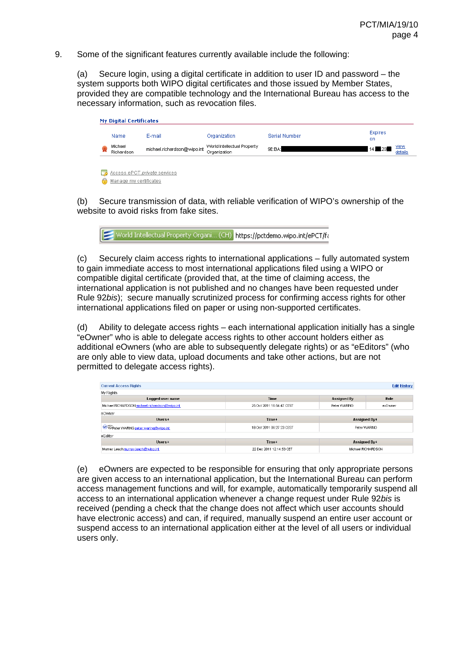9. Some of the significant features currently available include the following:

(a) Secure login, using a digital certificate in addition to user ID and password – the system supports both WIPO digital certificates and those issued by Member States, provided they are compatible technology and the International Bureau has access to the necessary information, such as revocation files.

|   | <b>My Digital Certificates</b><br>Name | E-mail                      | Organization                                | Serial Number | Expires<br>on   |                        |
|---|----------------------------------------|-----------------------------|---------------------------------------------|---------------|-----------------|------------------------|
|   | Michael<br>Richardson                  | michael.richardson@wipo.int | World Intellectual Property<br>Organization | 9E:BA:        | $14 \square 20$ | <u>view</u><br>details |
| ⊡ | Access ePCT private services           |                             |                                             |               |                 |                        |

Manage my certificates

(b) Secure transmission of data, with reliable verification of WIPO's ownership of the website to avoid risks from fake sites.

World Intellectual Property Organi... (CH) https://pctdemo.wipo.int/ePCT/fa

(c) Securely claim access rights to international applications – fully automated system to gain immediate access to most international applications filed using a WIPO or compatible digital certificate (provided that, at the time of claiming access, the international application is not published and no changes have been requested under Rule 92*bis*); secure manually scrutinized process for confirming access rights for other international applications filed on paper or using non-supported certificates.

(d) Ability to delegate access rights – each international application initially has a single "eOwner" who is able to delegate access rights to other account holders either as additional eOwners (who are able to subsequently delegate rights) or as "eEditors" (who are only able to view data, upload documents and take other actions, but are not permitted to delegate access rights).

| <b>Current Access Rights</b>                   |                           |              | <b>Edit History</b> |  |
|------------------------------------------------|---------------------------|--------------|---------------------|--|
| My Rights                                      |                           |              |                     |  |
| Logged user name                               | <b>Time</b>               | Assigned By  | Role                |  |
| Michael RICHARDSON michael.richardson@wipo.int | 25 Oct 2011 16:54:47 CEST | Peter WARING | e-Owner             |  |
| eOwner                                         |                           |              |                     |  |
| $Use \epsilon$                                 | Time ÷                    | Assigned By: |                     |  |
| <b>O</b> Speter WARING peter waring @wipo.int  | 18 Oct 2011 06:27:23 CEST |              | Peter WARING        |  |
| eEditor                                        |                           |              |                     |  |
| $Use \epsilon$                                 | <b>Time</b> #             | Assigned By: |                     |  |
| Murray Leach murray leach@wipo.int             | 22 Dec 2011 12:14:53 CET  |              | Michael RICHARDSON  |  |

(e) eOwners are expected to be responsible for ensuring that only appropriate persons are given access to an international application, but the International Bureau can perform access management functions and will, for example, automatically temporarily suspend all access to an international application whenever a change request under Rule 92*bis* is received (pending a check that the change does not affect which user accounts should have electronic access) and can, if required, manually suspend an entire user account or suspend access to an international application either at the level of all users or individual users only.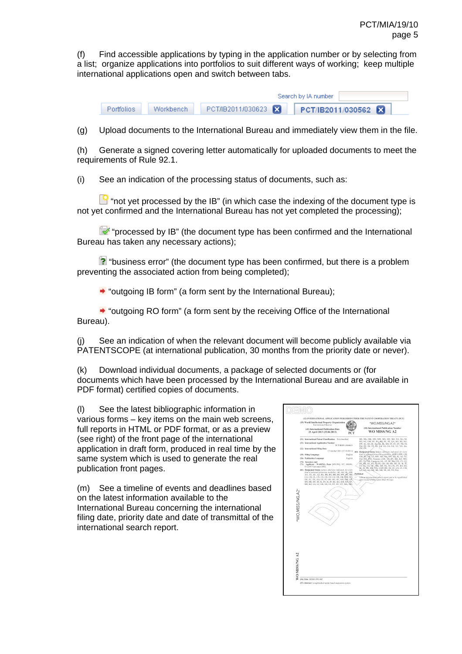(f) Find accessible applications by typing in the application number or by selecting from a list; organize applications into portfolios to suit different ways of working; keep multiple international applications open and switch between tabs.

|            |           |                   | Search by IA number |
|------------|-----------|-------------------|---------------------|
| Portfolios | Workbench | PCT/IB2011/030623 | PCT/IB2011/030562 X |

(g) Upload documents to the International Bureau and immediately view them in the file.

(h) Generate a signed covering letter automatically for uploaded documents to meet the requirements of Rule 92.1.

(i) See an indication of the processing status of documents, such as:

 $\mathbb{E}$  "not vet processed by the IB" (in which case the indexing of the document type is not yet confirmed and the International Bureau has not yet completed the processing);

 "processed by IB" (the document type has been confirmed and the International Bureau has taken any necessary actions);

 $\geq$  "business error" (the document type has been confirmed, but there is a problem preventing the associated action from being completed);

 $\rightarrow$  "outgoing IB form" (a form sent by the International Bureau);

 $\rightarrow$  "outgoing RO form" (a form sent by the receiving Office of the International Bureau).

(j) See an indication of when the relevant document will become publicly available via PATENTSCOPE (at international publication, 30 months from the priority date or never).

(k) Download individual documents, a package of selected documents or (for documents which have been processed by the International Bureau and are available in PDF format) certified copies of documents.

(l) See the latest bibliographic information in various forms – key items on the main web screens, full reports in HTML or PDF format, or as a preview (see right) of the front page of the international application in draft form, produced in real time by the same system which is used to generate the real publication front pages.

(m) See a timeline of events and deadlines based on the latest information available to the International Bureau concerning the international filing date, priority date and date of transmittal of the international search report.

| (19) World Intellectual Property Organization<br>International Roman<br>(43) International Publication Date<br>25 April 2013 (25.04.2013)                                                                                                                                                                                                                                                                                                                                                                                                                                                                                                                                                                                                                                       | PCT                | *WO.MISS/NG.A2*<br>(10) International Publication Number<br>WO MISS/NG A2                                                                                                                                                                                                                                                                                                                                                                                                                                                                                                                                                                                                                                                                                                                                                                           |
|---------------------------------------------------------------------------------------------------------------------------------------------------------------------------------------------------------------------------------------------------------------------------------------------------------------------------------------------------------------------------------------------------------------------------------------------------------------------------------------------------------------------------------------------------------------------------------------------------------------------------------------------------------------------------------------------------------------------------------------------------------------------------------|--------------------|-----------------------------------------------------------------------------------------------------------------------------------------------------------------------------------------------------------------------------------------------------------------------------------------------------------------------------------------------------------------------------------------------------------------------------------------------------------------------------------------------------------------------------------------------------------------------------------------------------------------------------------------------------------------------------------------------------------------------------------------------------------------------------------------------------------------------------------------------------|
| (51) International Patent Classification: Not classified<br>(21) International Application Number:<br>PCT/IB2011/030623<br>(22) International Filing Date:<br>17 October 2011 (17.10.2011)<br>(25) Filing Language:<br>(26) Publication Language:<br>(72) Inventor; and<br>Applicant : WARING, Peter (MY/FR); 187, 999999,<br>4713<br>F-12345 Versonnex (FR).<br>(81) Designated States (unless otherwise indicated, for every<br>kind of national protection available): AE, AG, AL, AM,<br>AO, AT, AU, AZ, BA, BB, BG, BH, BR, BW, BY, BZ;<br>CA, CH, CL, CN, CO, CR, CU, CZ, DE, DK, DM, DO,<br>DZ, EC, EE, EG, ES, FI, GB, GD, GE, GH, QM, GT,<br>HN, HR, HU, ID, IL, IN, IS, JP, KE, KG, KM, KN, KP,<br>KR, KZ, LA, LC, LK, LR, LS, LT, LU, LY, MA, ÑD,<br>"WO,MISS/NG,A2" | English<br>English | ME, MG, MK, MN, MW, MX, MY, MZ, NA, NG, NI,<br>NO, NZ, OM, PE, PG, PH, PL, PT, QA, RO, RS, RU,<br>RW, SC, SD, SE, SG, SK, SL, SM, ST, SV, SY, TH, TJ,<br>TM, TN, TR, TT, /ÉZ, U,K, UG, US, UZ, VC, VN, ZA,<br>ZM, ZW.<br>(84) Designated-States-/imiger coloragist indicated, for every<br>kind of registeral protection qualitables, ARIPO (BW, GH,<br>GM, RE, LR, LS, MW, MZ, NA, RW, SD, SL, SZ, TZ,<br>UG, ZM, ZW), Eurasian (AM, AZ, BY, KG, KZ, MD,<br>RU, TL/TM), European (AL, AT, BE, BG, CH, CY, CZ,<br>DE. ØK. EE. ES. FL-FR. GB. GR. HR. HU. IE. IS. IT.<br>LT, 2:U, LV, MC, MK, MT, NL, NO, PL, PT, RO, RS,<br>SE, SI, BK, SM, TR), OAN (BF, BJ, CF, CG, CI, CM,<br>GA, GN, GQ, GW, ML, MR, NE, SN, TD, TG).<br>Published:<br>willboat.Iggermational.spärch report and to be republished<br>apon receipt öf that report (Rule 48.2(g)) |
| <b>NO MISSING A2</b><br>(\$4) Title: DEMO-PW-002<br>(57) Abstract: Longditudinal spoke based suspension system                                                                                                                                                                                                                                                                                                                                                                                                                                                                                                                                                                                                                                                                  |                    |                                                                                                                                                                                                                                                                                                                                                                                                                                                                                                                                                                                                                                                                                                                                                                                                                                                     |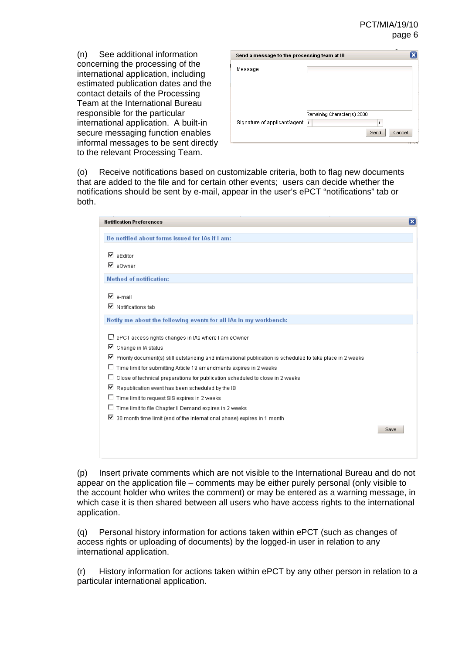#### PCT/MIA/19/10 page 6

(n) See additional information concerning the processing of the international application, including estimated publication dates and the contact details of the Processing Team at the International Bureau responsible for the particular international application. A built-in secure messaging function enables informal messages to be sent directly to the relevant Processing Team.

| Send a message to the processing team at IB |                                                    |
|---------------------------------------------|----------------------------------------------------|
| Message                                     |                                                    |
| Signature of applicant/agent /              | Remaining Character(s) 2000<br>J<br>Send<br>Cancel |

(o) Receive notifications based on customizable criteria, both to flag new documents that are added to the file and for certain other events; users can decide whether the notifications should be sent by e-mail, appear in the user's ePCT "notifications" tab or both.

| Be notified about forms issued for IAs if I am:                                                                        |      |
|------------------------------------------------------------------------------------------------------------------------|------|
|                                                                                                                        |      |
| $\nabla$ eEditor                                                                                                       |      |
| ⊠ e0wner                                                                                                               |      |
| <b>Method of notification:</b>                                                                                         |      |
| $\n  E$ e-mail                                                                                                         |      |
| $\n  Q\n  Notifications \n  Q\n  Notations$                                                                            |      |
| Notify me about the following events for all IAs in my workbench:                                                      |      |
| E ePCT access rights changes in IAs where I am eOwner                                                                  |      |
| $\boxdot$ Change in IA status                                                                                          |      |
| $\boxtimes$ Priority document(s) still outstanding and international publication is scheduled to take place in 2 weeks |      |
| п<br>Time limit for submitting Article 19 amendments expires in 2 weeks                                                |      |
| п<br>Close of technical preparations for publication scheduled to close in 2 weeks                                     |      |
| $\boxdot$ Republication event has been scheduled by the IB                                                             |      |
| D.<br>Time limit to request SIS expires in 2 weeks                                                                     |      |
| Time limit to file Chapter II Demand expires in 2 weeks<br>D.                                                          |      |
| ☑ 30 month time limit (end of the international phase) expires in 1 month                                              |      |
|                                                                                                                        | Save |

(p) Insert private comments which are not visible to the International Bureau and do not appear on the application file – comments may be either purely personal (only visible to the account holder who writes the comment) or may be entered as a warning message, in which case it is then shared between all users who have access rights to the international application.

(q) Personal history information for actions taken within ePCT (such as changes of access rights or uploading of documents) by the logged-in user in relation to any international application.

(r) History information for actions taken within ePCT by any other person in relation to a particular international application.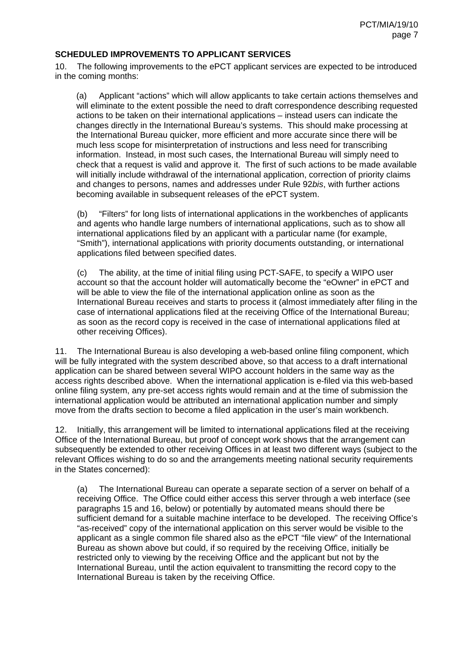#### **SCHEDULED IMPROVEMENTS TO APPLICANT SERVICES**

10. The following improvements to the ePCT applicant services are expected to be introduced in the coming months:

(a) Applicant "actions" which will allow applicants to take certain actions themselves and will eliminate to the extent possible the need to draft correspondence describing requested actions to be taken on their international applications – instead users can indicate the changes directly in the International Bureau's systems. This should make processing at the International Bureau quicker, more efficient and more accurate since there will be much less scope for misinterpretation of instructions and less need for transcribing information. Instead, in most such cases, the International Bureau will simply need to check that a request is valid and approve it. The first of such actions to be made available will initially include withdrawal of the international application, correction of priority claims and changes to persons, names and addresses under Rule 92*bis*, with further actions becoming available in subsequent releases of the ePCT system.

(b) "Filters" for long lists of international applications in the workbenches of applicants and agents who handle large numbers of international applications, such as to show all international applications filed by an applicant with a particular name (for example, "Smith"), international applications with priority documents outstanding, or international applications filed between specified dates.

(c) The ability, at the time of initial filing using PCT-SAFE, to specify a WIPO user account so that the account holder will automatically become the "eOwner" in ePCT and will be able to view the file of the international application online as soon as the International Bureau receives and starts to process it (almost immediately after filing in the case of international applications filed at the receiving Office of the International Bureau; as soon as the record copy is received in the case of international applications filed at other receiving Offices).

11. The International Bureau is also developing a web-based online filing component, which will be fully integrated with the system described above, so that access to a draft international application can be shared between several WIPO account holders in the same way as the access rights described above. When the international application is e-filed via this web-based online filing system, any pre-set access rights would remain and at the time of submission the international application would be attributed an international application number and simply move from the drafts section to become a filed application in the user's main workbench.

12. Initially, this arrangement will be limited to international applications filed at the receiving Office of the International Bureau, but proof of concept work shows that the arrangement can subsequently be extended to other receiving Offices in at least two different ways (subject to the relevant Offices wishing to do so and the arrangements meeting national security requirements in the States concerned):

(a) The International Bureau can operate a separate section of a server on behalf of a receiving Office. The Office could either access this server through a web interface (see paragraphs 15 and 16, below) or potentially by automated means should there be sufficient demand for a suitable machine interface to be developed. The receiving Office's "as-received" copy of the international application on this server would be visible to the applicant as a single common file shared also as the ePCT "file view" of the International Bureau as shown above but could, if so required by the receiving Office, initially be restricted only to viewing by the receiving Office and the applicant but not by the International Bureau, until the action equivalent to transmitting the record copy to the International Bureau is taken by the receiving Office.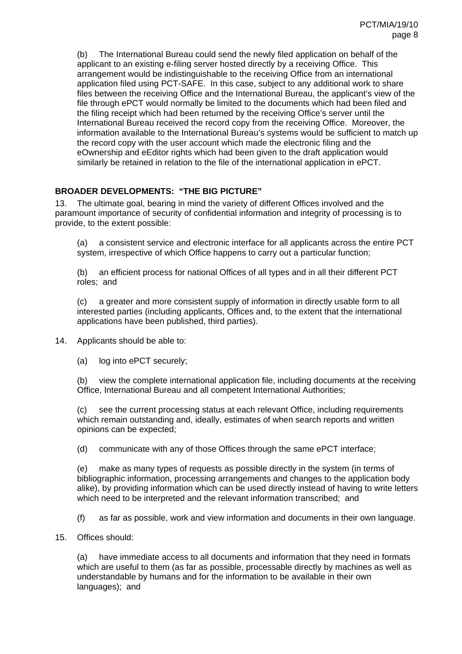(b) The International Bureau could send the newly filed application on behalf of the applicant to an existing e-filing server hosted directly by a receiving Office. This arrangement would be indistinguishable to the receiving Office from an international application filed using PCT-SAFE. In this case, subject to any additional work to share files between the receiving Office and the International Bureau, the applicant's view of the file through ePCT would normally be limited to the documents which had been filed and the filing receipt which had been returned by the receiving Office's server until the International Bureau received the record copy from the receiving Office. Moreover, the information available to the International Bureau's systems would be sufficient to match up the record copy with the user account which made the electronic filing and the eOwnership and eEditor rights which had been given to the draft application would similarly be retained in relation to the file of the international application in ePCT.

## **BROADER DEVELOPMENTS: "THE BIG PICTURE"**

13. The ultimate goal, bearing in mind the variety of different Offices involved and the paramount importance of security of confidential information and integrity of processing is to provide, to the extent possible:

(a) a consistent service and electronic interface for all applicants across the entire PCT system, irrespective of which Office happens to carry out a particular function;

(b) an efficient process for national Offices of all types and in all their different PCT roles; and

(c) a greater and more consistent supply of information in directly usable form to all interested parties (including applicants, Offices and, to the extent that the international applications have been published, third parties).

14. Applicants should be able to:

(a) log into ePCT securely;

(b) view the complete international application file, including documents at the receiving Office, International Bureau and all competent International Authorities;

(c) see the current processing status at each relevant Office, including requirements which remain outstanding and, ideally, estimates of when search reports and written opinions can be expected;

(d) communicate with any of those Offices through the same ePCT interface;

(e) make as many types of requests as possible directly in the system (in terms of bibliographic information, processing arrangements and changes to the application body alike), by providing information which can be used directly instead of having to write letters which need to be interpreted and the relevant information transcribed; and

(f) as far as possible, work and view information and documents in their own language.

15. Offices should:

(a) have immediate access to all documents and information that they need in formats which are useful to them (as far as possible, processable directly by machines as well as understandable by humans and for the information to be available in their own languages); and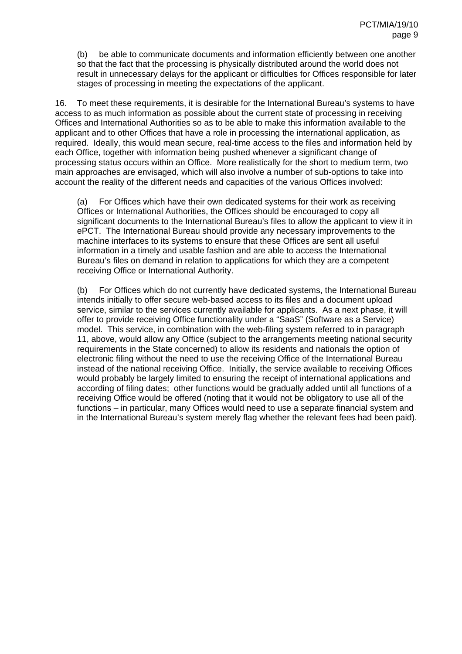(b) be able to communicate documents and information efficiently between one another so that the fact that the processing is physically distributed around the world does not result in unnecessary delays for the applicant or difficulties for Offices responsible for later stages of processing in meeting the expectations of the applicant.

16. To meet these requirements, it is desirable for the International Bureau's systems to have access to as much information as possible about the current state of processing in receiving Offices and International Authorities so as to be able to make this information available to the applicant and to other Offices that have a role in processing the international application, as required. Ideally, this would mean secure, real-time access to the files and information held by each Office, together with information being pushed whenever a significant change of processing status occurs within an Office. More realistically for the short to medium term, two main approaches are envisaged, which will also involve a number of sub-options to take into account the reality of the different needs and capacities of the various Offices involved:

(a) For Offices which have their own dedicated systems for their work as receiving Offices or International Authorities, the Offices should be encouraged to copy all significant documents to the International Bureau's files to allow the applicant to view it in ePCT. The International Bureau should provide any necessary improvements to the machine interfaces to its systems to ensure that these Offices are sent all useful information in a timely and usable fashion and are able to access the International Bureau's files on demand in relation to applications for which they are a competent receiving Office or International Authority.

(b) For Offices which do not currently have dedicated systems, the International Bureau intends initially to offer secure web-based access to its files and a document upload service, similar to the services currently available for applicants. As a next phase, it will offer to provide receiving Office functionality under a "SaaS" (Software as a Service) model. This service, in combination with the web-filing system referred to in paragraph 11, above, would allow any Office (subject to the arrangements meeting national security requirements in the State concerned) to allow its residents and nationals the option of electronic filing without the need to use the receiving Office of the International Bureau instead of the national receiving Office. Initially, the service available to receiving Offices would probably be largely limited to ensuring the receipt of international applications and according of filing dates; other functions would be gradually added until all functions of a receiving Office would be offered (noting that it would not be obligatory to use all of the functions – in particular, many Offices would need to use a separate financial system and in the International Bureau's system merely flag whether the relevant fees had been paid).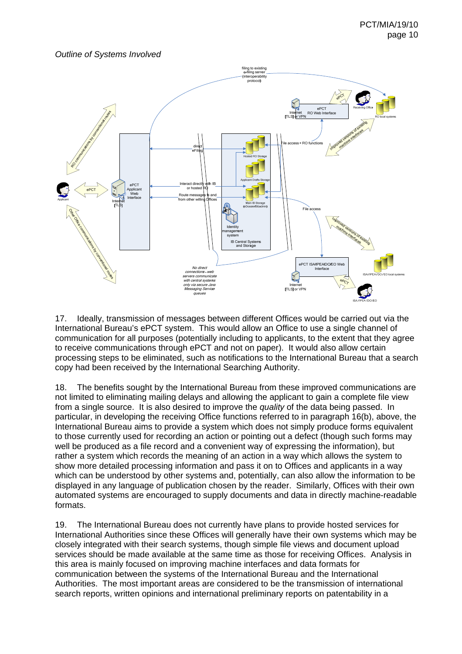*Outline of Systems Involved* 



17. Ideally, transmission of messages between different Offices would be carried out via the International Bureau's ePCT system. This would allow an Office to use a single channel of communication for all purposes (potentially including to applicants, to the extent that they agree to receive communications through ePCT and not on paper). It would also allow certain processing steps to be eliminated, such as notifications to the International Bureau that a search copy had been received by the International Searching Authority.

18. The benefits sought by the International Bureau from these improved communications are not limited to eliminating mailing delays and allowing the applicant to gain a complete file view from a single source. It is also desired to improve the *quality* of the data being passed. In particular, in developing the receiving Office functions referred to in paragraph 16(b), above, the International Bureau aims to provide a system which does not simply produce forms equivalent to those currently used for recording an action or pointing out a defect (though such forms may well be produced as a file record and a convenient way of expressing the information), but rather a system which records the meaning of an action in a way which allows the system to show more detailed processing information and pass it on to Offices and applicants in a way which can be understood by other systems and, potentially, can also allow the information to be displayed in any language of publication chosen by the reader. Similarly, Offices with their own automated systems are encouraged to supply documents and data in directly machine-readable formats.

19. The International Bureau does not currently have plans to provide hosted services for International Authorities since these Offices will generally have their own systems which may be closely integrated with their search systems, though simple file views and document upload services should be made available at the same time as those for receiving Offices. Analysis in this area is mainly focused on improving machine interfaces and data formats for communication between the systems of the International Bureau and the International Authorities. The most important areas are considered to be the transmission of international search reports, written opinions and international preliminary reports on patentability in a